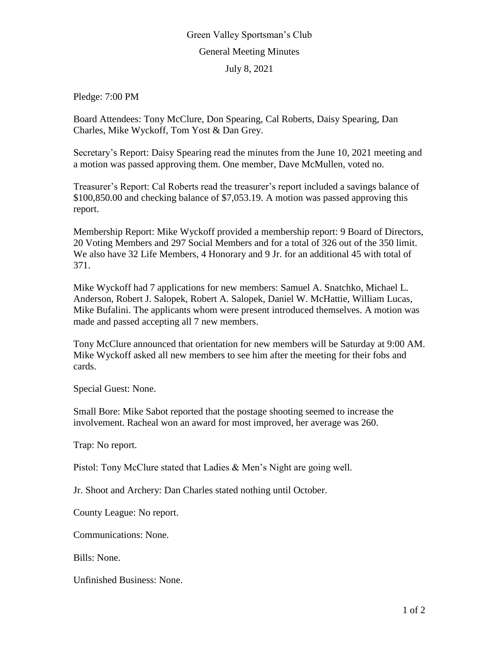## Green Valley Sportsman's Club General Meeting Minutes July 8, 2021

Pledge: 7:00 PM

Board Attendees: Tony McClure, Don Spearing, Cal Roberts, Daisy Spearing, Dan Charles, Mike Wyckoff, Tom Yost & Dan Grey.

Secretary's Report: Daisy Spearing read the minutes from the June 10, 2021 meeting and a motion was passed approving them. One member, Dave McMullen, voted no.

Treasurer's Report: Cal Roberts read the treasurer's report included a savings balance of \$100,850.00 and checking balance of \$7,053.19. A motion was passed approving this report.

Membership Report: Mike Wyckoff provided a membership report: 9 Board of Directors, 20 Voting Members and 297 Social Members and for a total of 326 out of the 350 limit. We also have 32 Life Members, 4 Honorary and 9 Jr. for an additional 45 with total of 371.

Mike Wyckoff had 7 applications for new members: Samuel A. Snatchko, Michael L. Anderson, Robert J. Salopek, Robert A. Salopek, Daniel W. McHattie, William Lucas, Mike Bufalini. The applicants whom were present introduced themselves. A motion was made and passed accepting all 7 new members.

Tony McClure announced that orientation for new members will be Saturday at 9:00 AM. Mike Wyckoff asked all new members to see him after the meeting for their fobs and cards.

Special Guest: None.

Small Bore: Mike Sabot reported that the postage shooting seemed to increase the involvement. Racheal won an award for most improved, her average was 260.

Trap: No report.

Pistol: Tony McClure stated that Ladies & Men's Night are going well.

Jr. Shoot and Archery: Dan Charles stated nothing until October.

County League: No report.

Communications: None.

Bills: None.

Unfinished Business: None.